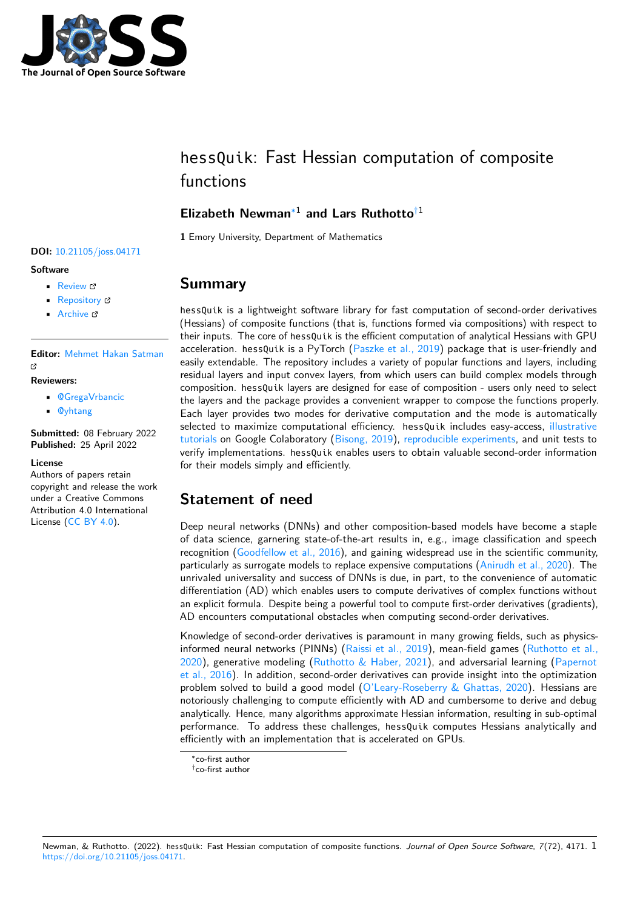

# hessQuik: Fast Hessian computation of composite functions

# **Elizabeth Newman**[∗1](#page-6-0) **and Lars Ruthotto**[†1](#page-6-0)

**1** Emory University, Department of Mathematics

# **Summary**

hessQuik is a lightweight software library for fast computation of second-order derivatives (Hessians) of composite functions (that is, functions formed via compositions) with respect to their inputs. The core of hessQuik is the efficient computation of analytical Hessians with GPU acceleration. hessQuik is a PyTorch [\(Paszke et al., 2019\)](#page-5-0) package that is user-friendly and easily extendable. The repository includes a variety of popular functions and layers, including residual layers and input convex layers, from which users can build complex models through composition. hessQuik layers are designed for ease of composition - users only need to select the layers and the package provides a convenient wrapper to compose the functions properly. Each layer provides two modes for derivative computation and the mode is automatically selected to maximize computational efficiency. hessQuik includes easy-access, [illustrative](https://colab.research.google.com/github/elizabethnewman/hessQuik/blob/main/hessQuik/examples/hessQuikPeaksHermiteInterpolation.ipynb) [tutorials](https://colab.research.google.com/github/elizabethnewman/hessQuik/blob/main/hessQuik/examples/hessQuikPeaksHermiteInterpolation.ipynb) on Google Colaboratory [\(Bisong, 2019\)](#page-5-1), [reproducible experiments,](https://colab.research.google.com/github/elizabethnewman/hessQuik/blob/main/hessQuik/examples/hessQuikTimingTest.ipynb) and unit tests to verify implementations. hessQuik enables users to obtain valuable second-order information for their models simply and efficiently.

# **Statement of need**

Deep neural networks (DNNs) and other composition-based models have become a staple of data science, garnering state-of-the-art results in, e.g., image classification and speech recognition [\(Goodfellow et al., 2016\)](#page-5-2), and gaining widespread use in the scientific community, particularly as surrogate models to replace expensive computations [\(Anirudh et al., 2020\)](#page-5-3). The unrivaled universality and success of DNNs is due, in part, to the convenience of automatic differentiation (AD) which enables users to compute derivatives of complex functions without an explicit formula. Despite being a powerful tool to compute first-order derivatives (gradients), AD encounters computational obstacles when computing second-order derivatives.

Knowledge of second-order derivatives is paramount in many growing fields, such as physics-informed neural networks (PINNs) [\(Raissi et al., 2019\)](#page-6-1), mean-field games [\(Ruthotto et al.,](#page-6-2)  $2020$ ), generative modeling [\(Ruthotto & Haber, 2021\)](#page-6-3), and adversarial learning [\(Papernot](#page-5-4) [et al., 2016\)](#page-5-4). In addition, second-order derivatives can provide insight into the optimization problem solved to build a good model [\(O'Leary-Roseberry & Ghattas, 2020\)](#page-5-5). Hessians are notoriously challenging to compute efficiently with AD and cumbersome to derive and debug analytically. Hence, many algorithms approximate Hessian information, resulting in sub-optimal performance. To address these challenges, hessQuik computes Hessians analytically and efficiently with an implementation that is accelerated on GPUs.

# **DOI:** [10.21105/joss.04171](https://doi.org/10.21105/joss.04171)

#### **Software**

- [Review](https://github.com/openjournals/joss-reviews/issues/4171) &
- [Repository](https://github.com/elizabethnewman/hessQuik) &
- [Archive](https://doi.org/10.5281/zenodo.6478757) &

**Editor:** [Mehmet Hakan Satman](https://avesis.istanbul.edu.tr/mhsatman) C<sup>7</sup>

#### **Reviewers:**

- [@GregaVrbancic](https://github.com/GregaVrbancic)
- [@yhtang](https://github.com/yhtang)

**Submitted:** 08 February 2022 **Published:** 25 April 2022

#### **License**

Authors of papers retain copyright and release the work under a Creative Commons Attribution 4.0 International License [\(CC BY 4.0\)](https://creativecommons.org/licenses/by/4.0/).

<sup>∗</sup>co-first author

<sup>†</sup>co-first author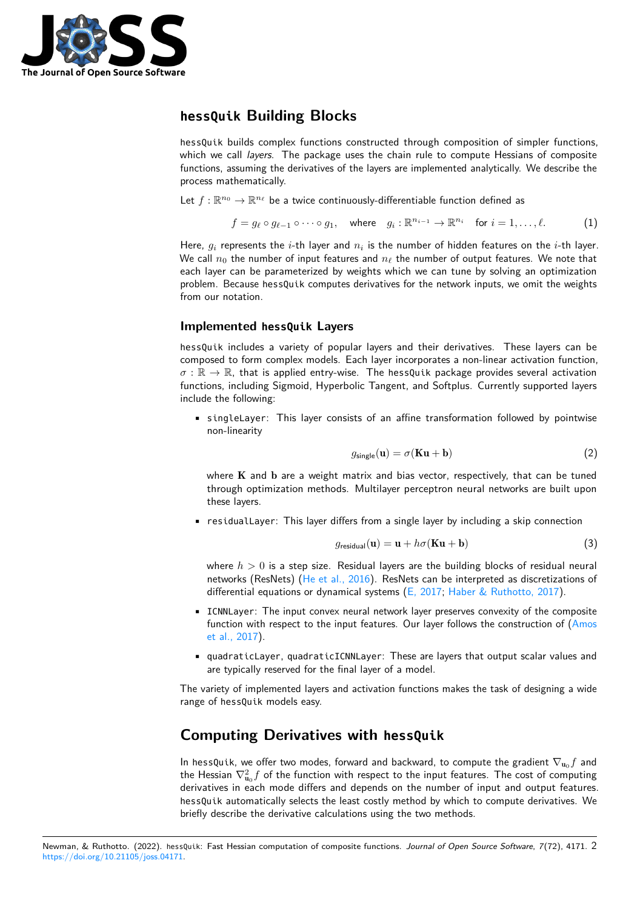

# **hessQuik Building Blocks**

hessQuik builds complex functions constructed through composition of simpler functions, which we call layers. The package uses the chain rule to compute Hessians of composite functions, assuming the derivatives of the layers are implemented analytically. We describe the process mathematically.

Let  $f: \mathbb{R}^{n_0} \to \mathbb{R}^{n_\ell}$  be a twice continuously-differentiable function defined as

$$
f = g_{\ell} \circ g_{\ell-1} \circ \cdots \circ g_1, \quad \text{where} \quad g_i: \mathbb{R}^{n_{i-1}} \to \mathbb{R}^{n_i} \quad \text{for } i = 1, \ldots, \ell.
$$
 (1)

Here,  $g_i$  represents the i-th layer and  $n_i$  is the number of hidden features on the i-th layer. We call  $n_0$  the number of input features and  $n_\ell$  the number of output features. We note that each layer can be parameterized by weights which we can tune by solving an optimization problem. Because hessQuik computes derivatives for the network inputs, we omit the weights from our notation.

#### **Implemented hessQuik Layers**

hessQuik includes a variety of popular layers and their derivatives. These layers can be composed to form complex models. Each layer incorporates a non-linear activation function,  $\sigma : \mathbb{R} \to \mathbb{R}$ , that is applied entry-wise. The hessQuik package provides several activation functions, including Sigmoid, Hyperbolic Tangent, and Softplus. Currently supported layers include the following:

• singleLayer: This layer consists of an affine transformation followed by pointwise non-linearity

$$
g_{\text{single}}(\mathbf{u}) = \sigma(\mathbf{Ku} + \mathbf{b})\tag{2}
$$

where  $K$  and  $b$  are a weight matrix and bias vector, respectively, that can be tuned through optimization methods. Multilayer perceptron neural networks are built upon these layers.

• residualLayer: This layer differs from a single layer by including a skip connection

$$
g_{\text{residual}}(\mathbf{u}) = \mathbf{u} + h\sigma(\mathbf{K}\mathbf{u} + \mathbf{b}) \tag{3}
$$

where  $h > 0$  is a step size. Residual layers are the building blocks of residual neural networks (ResNets) [\(He et al., 2016\)](#page-5-6). ResNets can be interpreted as discretizations of differential equations or dynamical systems [\(E, 2017;](#page-5-7) [Haber & Ruthotto, 2017\)](#page-5-8).

- ICNNLayer: The input convex neural network layer preserves convexity of the composite function with respect to the input features. Our layer follows the construction of [\(Amos](#page-5-9) [et al., 2017\)](#page-5-9).
- quadraticLayer, quadraticICNNLayer: These are layers that output scalar values and are typically reserved for the final layer of a model.

The variety of implemented layers and activation functions makes the task of designing a wide range of hessQuik models easy.

# **Computing Derivatives with hessQuik**

In hessQuik, we offer two modes, forward and backward, to compute the gradient  $\nabla_{{\bf u}_0} f$  and the Hessian  $\nabla_{{\bf u}_0}^2f$  of the function with respect to the input features. The cost of computing derivatives in each mode differs and depends on the number of input and output features. hessQuik automatically selects the least costly method by which to compute derivatives. We briefly describe the derivative calculations using the two methods.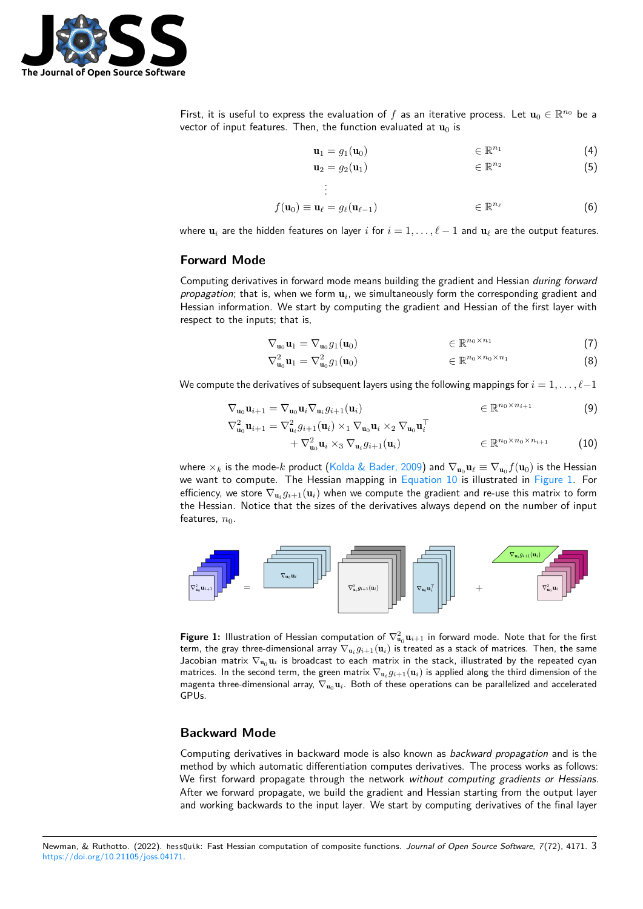

First, it is useful to express the evaluation of f as an iterative process. Let  $\mathbf{u}_0 \in \mathbb{R}^{n_0}$  be a vector of input features. Then, the function evaluated at  $\mathbf{u}_0$  is

$$
\mathbf{u}_1 = g_1(\mathbf{u}_0) \qquad \qquad \in \mathbb{R}^{n_1} \tag{4}
$$

$$
\mathbf{u}_2 = g_2(\mathbf{u}_1) \qquad \qquad \in \mathbb{R}^{n_2} \qquad (5)
$$

$$
f(\mathbf{u}_0) \equiv \mathbf{u}_\ell = g_\ell(\mathbf{u}_{\ell-1}) \qquad \qquad \in \mathbb{R}^{n_\ell} \tag{6}
$$

where  $\mathbf{u}_i$  are the hidden features on layer i for  $i = 1, \ldots, \ell - 1$  and  $\mathbf{u}_\ell$  are the output features.

.

#### **Forward Mode**

Computing derivatives in forward mode means building the gradient and Hessian during forward propagation; that is, when we form  $\mathbf{u}_i$ , we simultaneously form the corresponding gradient and Hessian information. We start by computing the gradient and Hessian of the first layer with respect to the inputs; that is,

$$
\nabla_{\mathbf{u}_0} \mathbf{u}_1 = \nabla_{\mathbf{u}_0} g_1(\mathbf{u}_0) \qquad \qquad \in \mathbb{R}^{n_0 \times n_1} \tag{7}
$$

<span id="page-2-0"></span>
$$
\nabla_{\mathbf{u}_0}^2 \mathbf{u}_1 = \nabla_{\mathbf{u}_0}^2 g_1(\mathbf{u}_0) \qquad \qquad \in \mathbb{R}^{n_0 \times n_0 \times n_1} \tag{8}
$$

We compute the derivatives of subsequent layers using the following mappings for  $i = 1, \ldots, \ell-1$ 

$$
\nabla_{\mathbf{u}_0} \mathbf{u}_{i+1} = \nabla_{\mathbf{u}_0} \mathbf{u}_i \nabla_{\mathbf{u}_i} g_{i+1}(\mathbf{u}_i) \qquad \qquad \in \mathbb{R}^{n_0 \times n_{i+1}} \tag{9}
$$

$$
\nabla_{\mathbf{u}_0}^2 \mathbf{u}_{i+1} = \nabla_{\mathbf{u}_i}^2 g_{i+1}(\mathbf{u}_i) \times_1 \nabla_{\mathbf{u}_0} \mathbf{u}_i \times_2 \nabla_{\mathbf{u}_0} \mathbf{u}_i^\top
$$
  
+ 
$$
\nabla_{\mathbf{u}_0}^2 \mathbf{u}_i \times_3 \nabla_{\mathbf{u}_i} g_{i+1}(\mathbf{u}_i) \in \mathbb{R}^{n_0 \times n_0 \times n_{i+1}}
$$
 (10)

where  $\times_k$  is the mode- $k$  product [\(Kolda & Bader, 2009\)](#page-5-10) and  $\nabla_{{\bf u}_0}{\bf u}_\ell\equiv\nabla_{{\bf u}_0}f({\bf u}_0)$  is the Hessian we want to compute. The Hessian mapping in [Equation 10](#page-2-0) is illustrated in [Figure 1.](#page-2-1) For efficiency, we store  $\nabla_{{\bf u}_i} g_{i+1}({\bf u}_i)$  when we compute the gradient and re-use this matrix to form the Hessian. Notice that the sizes of the derivatives always depend on the number of input features,  $n_0$ .

<span id="page-2-1"></span>

Figure 1: Illustration of Hessian computation of  $\nabla_{{\bf u}_0}^2 {\bf u}_{i+1}$  in forward mode. Note that for the first term, the gray three-dimensional array  $\nabla_{\mathbf{u}_i} g_{i+1}(\mathbf{u}_i)$  is treated as a stack of matrices. Then, the same Jacobian matrix  $\nabla_{u_0} u_i$  is broadcast to each matrix in the stack, illustrated by the repeated cyan matrices. In the second term, the green matrix  $\nabla_{{\bf u}_i} g_{i+1}({\bf u}_i)$  is applied along the third dimension of the magenta three-dimensional array,  $\nabla_{u_0} u_i$ . Both of these operations can be parallelized and accelerated GPUs.

#### **Backward Mode**

Computing derivatives in backward mode is also known as *backward propagation* and is the method by which automatic differentiation computes derivatives. The process works as follows: We first forward propagate through the network without computing gradients or Hessians. After we forward propagate, we build the gradient and Hessian starting from the output layer and working backwards to the input layer. We start by computing derivatives of the final layer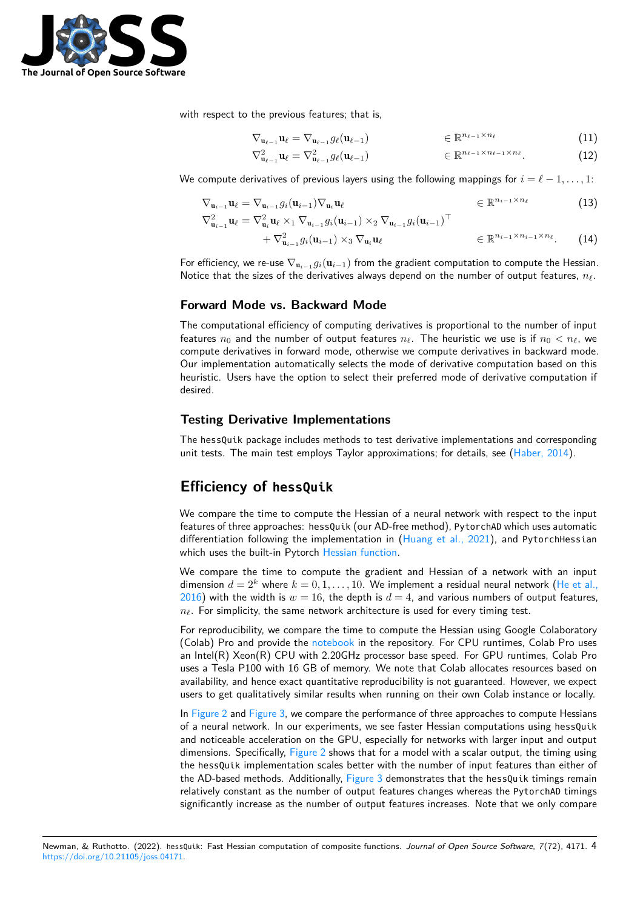

with respect to the previous features; that is,

$$
\nabla_{\mathbf{u}_{\ell-1}} \mathbf{u}_{\ell} = \nabla_{\mathbf{u}_{\ell-1}} g_{\ell}(\mathbf{u}_{\ell-1}) \qquad \qquad \in \mathbb{R}^{n_{\ell-1} \times n_{\ell}} \tag{11}
$$

$$
\nabla_{\mathbf{u}_{\ell-1}}^2 \mathbf{u}_{\ell} = \nabla_{\mathbf{u}_{\ell-1}}^2 g_{\ell}(\mathbf{u}_{\ell-1}) \qquad \qquad \in \mathbb{R}^{n_{\ell-1} \times n_{\ell-1} \times n_{\ell}}.
$$
 (12)

We compute derivatives of previous layers using the following mappings for  $i = \ell - 1, \ldots, 1$ :

$$
\nabla_{\mathbf{u}_{i-1}} \mathbf{u}_{\ell} = \nabla_{\mathbf{u}_{i-1}} g_i(\mathbf{u}_{i-1}) \nabla_{\mathbf{u}_i} \mathbf{u}_{\ell} \qquad \in \mathbb{R}^{n_{i-1} \times n_{\ell}} \qquad (13)
$$
\n
$$
\nabla_{\mathbf{u}_{i-1}}^2 \mathbf{u}_{\ell} = \nabla_{\mathbf{u}_i}^2 \mathbf{u}_{\ell} \times_1 \nabla_{\mathbf{u}_{i-1}} g_i(\mathbf{u}_{i-1}) \times_2 \nabla_{\mathbf{u}_{i-1}} g_i(\mathbf{u}_{i-1})^\top
$$
\n
$$
+ \nabla_{\mathbf{u}_{i-1}}^2 g_i(\mathbf{u}_{i-1}) \times_3 \nabla_{\mathbf{u}_i} \mathbf{u}_{\ell} \qquad \in \mathbb{R}^{n_{i-1} \times n_{i-1} \times n_{\ell}}. \qquad (14)
$$

For efficiency, we re-use  $\nabla_{\mathbf{u}_{i-1}} g_i(\mathbf{u}_{i-1})$  from the gradient computation to compute the Hessian. Notice that the sizes of the derivatives always depend on the number of output features,  $n_\ell$ .

#### **Forward Mode vs. Backward Mode**

The computational efficiency of computing derivatives is proportional to the number of input features  $n_0$  and the number of output features  $n_\ell$ . The heuristic we use is if  $n_0 < n_\ell$ , we compute derivatives in forward mode, otherwise we compute derivatives in backward mode. Our implementation automatically selects the mode of derivative computation based on this heuristic. Users have the option to select their preferred mode of derivative computation if desired.

### **Testing Derivative Implementations**

The hessQuik package includes methods to test derivative implementations and corresponding unit tests. The main test employs Taylor approximations; for details, see [\(Haber, 2014\)](#page-5-11).

# **Efficiency of hessQuik**

We compare the time to compute the Hessian of a neural network with respect to the input features of three approaches: hessQuik (our AD-free method), PytorchAD which uses automatic differentiation following the implementation in [\(Huang et al., 2021\)](#page-5-12), and PytorchHessian which uses the built-in Pytorch [Hessian function.](https://pytorch.org/docs/stable/generated/torch.autograd.functional.hessian.html)

We compare the time to compute the gradient and Hessian of a network with an input dimension  $d = 2^k$  where  $k = 0, 1, ..., 10$ . We implement a residual neural network [\(He et al.,](#page-5-6) [2016\)](#page-5-6) with the width is  $w = 16$ , the depth is  $d = 4$ , and various numbers of output features,  $n_{\ell}$ . For simplicity, the same network architecture is used for every timing test.

For reproducibility, we compare the time to compute the Hessian using Google Colaboratory (Colab) Pro and provide the [notebook](https://colab.research.google.com/github/elizabethnewman/hessQuik/blob/main/hessQuik/examples/hessQuikTimingTest.ipynb) in the repository. For CPU runtimes, Colab Pro uses an Intel(R) Xeon(R) CPU with 2.20GHz processor base speed. For GPU runtimes, Colab Pro uses a Tesla P100 with 16 GB of memory. We note that Colab allocates resources based on availability, and hence exact quantitative reproducibility is not guaranteed. However, we expect users to get qualitatively similar results when running on their own Colab instance or locally.

In [Figure 2](#page-4-0) and [Figure 3,](#page-4-1) we compare the performance of three approaches to compute Hessians of a neural network. In our experiments, we see faster Hessian computations using hessQuik and noticeable acceleration on the GPU, especially for networks with larger input and output dimensions. Specifically, [Figure 2](#page-4-0) shows that for a model with a scalar output, the timing using the hessQuik implementation scales better with the number of input features than either of the AD-based methods. Additionally, [Figure 3](#page-4-1) demonstrates that the hessQuik timings remain relatively constant as the number of output features changes whereas the PytorchAD timings significantly increase as the number of output features increases. Note that we only compare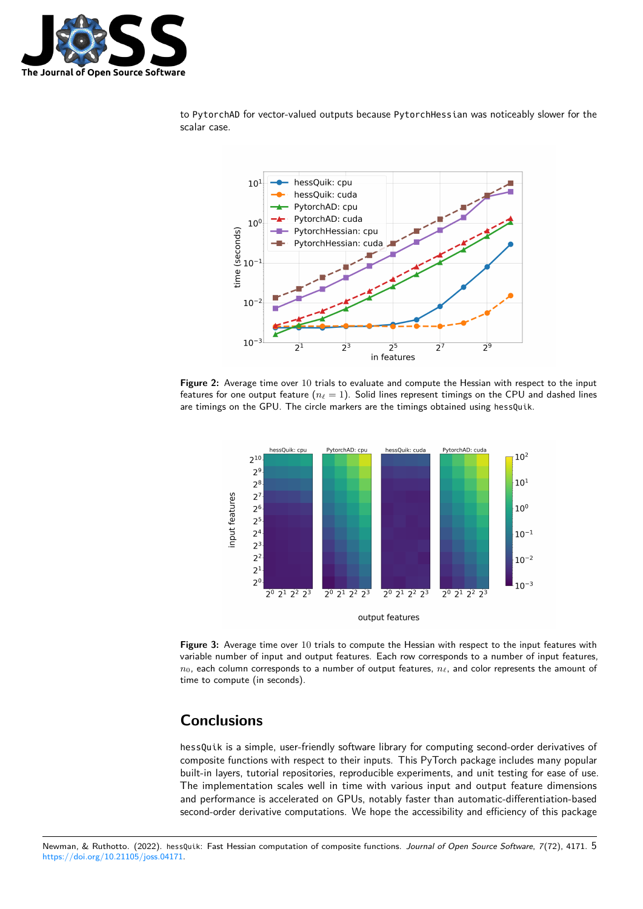

<span id="page-4-0"></span>to PytorchAD for vector-valued outputs because PytorchHessian was noticeably slower for the scalar case.



**Figure 2:** Average time over 10 trials to evaluate and compute the Hessian with respect to the input features for one output feature ( $n_\ell = 1$ ). Solid lines represent timings on the CPU and dashed lines are timings on the GPU. The circle markers are the timings obtained using hessQuik.

<span id="page-4-1"></span>

**Figure 3:** Average time over 10 trials to compute the Hessian with respect to the input features with variable number of input and output features. Each row corresponds to a number of input features,  $n_0$ , each column corresponds to a number of output features,  $n_\ell$ , and color represents the amount of time to compute (in seconds).

# **Conclusions**

hessQuik is a simple, user-friendly software library for computing second-order derivatives of composite functions with respect to their inputs. This PyTorch package includes many popular built-in layers, tutorial repositories, reproducible experiments, and unit testing for ease of use. The implementation scales well in time with various input and output feature dimensions and performance is accelerated on GPUs, notably faster than automatic-differentiation-based second-order derivative computations. We hope the accessibility and efficiency of this package

Newman, & Ruthotto. (2022). hessQuik: Fast Hessian computation of composite functions. Journal of Open Source Software, 7(72), 4171. 5 [https://doi.org/10.21105/joss.04171.](https://doi.org/10.21105/joss.04171)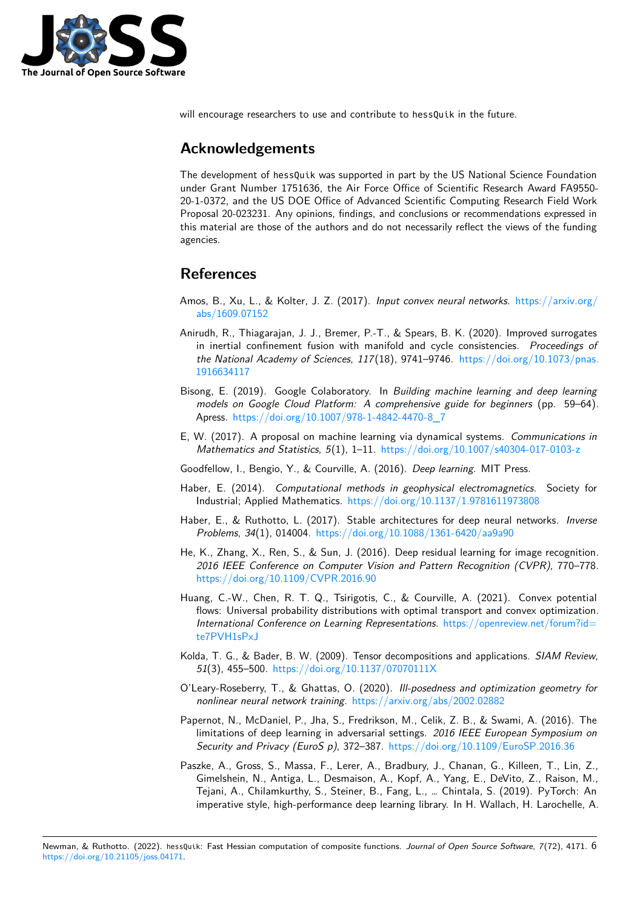

will encourage researchers to use and contribute to hessQuik in the future.

## **Acknowledgements**

The development of hessQuik was supported in part by the US National Science Foundation under Grant Number 1751636, the Air Force Office of Scientific Research Award FA9550- 20-1-0372, and the US DOE Office of Advanced Scientific Computing Research Field Work Proposal 20-023231. Any opinions, findings, and conclusions or recommendations expressed in this material are those of the authors and do not necessarily reflect the views of the funding agencies.

# **References**

- <span id="page-5-9"></span>Amos, B., Xu, L., & Kolter, J. Z. (2017). Input convex neural networks. [https://arxiv.org/](https://arxiv.org/abs/1609.07152) [abs/1609.07152](https://arxiv.org/abs/1609.07152)
- <span id="page-5-3"></span>Anirudh, R., Thiagarajan, J. J., Bremer, P.-T., & Spears, B. K. (2020). Improved surrogates in inertial confinement fusion with manifold and cycle consistencies. Proceedings of the National Academy of Sciences, 117(18), 9741–9746. [https://doi.org/10.1073/pnas.](https://doi.org/10.1073/pnas.1916634117) [1916634117](https://doi.org/10.1073/pnas.1916634117)
- <span id="page-5-1"></span>Bisong, E. (2019). Google Colaboratory. In Building machine learning and deep learning models on Google Cloud Platform: A comprehensive guide for beginners (pp. 59–64). Apress. [https://doi.org/10.1007/978-1-4842-4470-8\\_7](https://doi.org/10.1007/978-1-4842-4470-8_7)
- <span id="page-5-7"></span>E, W. (2017). A proposal on machine learning via dynamical systems. Communications in Mathematics and Statistics,  $5(1)$ ,  $1-11$ . <https://doi.org/10.1007/s40304-017-0103-z>
- <span id="page-5-2"></span>Goodfellow, I., Bengio, Y., & Courville, A. (2016). Deep learning. MIT Press.
- <span id="page-5-11"></span>Haber, E. (2014). Computational methods in geophysical electromagnetics. Society for Industrial; Applied Mathematics. <https://doi.org/10.1137/1.9781611973808>
- <span id="page-5-8"></span>Haber, E., & Ruthotto, L. (2017). Stable architectures for deep neural networks. Inverse Problems, 34(1), 014004. <https://doi.org/10.1088/1361-6420/aa9a90>
- <span id="page-5-6"></span>He, K., Zhang, X., Ren, S., & Sun, J. (2016). Deep residual learning for image recognition. 2016 IEEE Conference on Computer Vision and Pattern Recognition (CVPR), 770–778. <https://doi.org/10.1109/CVPR.2016.90>
- <span id="page-5-12"></span>Huang, C.-W., Chen, R. T. Q., Tsirigotis, C., & Courville, A. (2021). Convex potential flows: Universal probability distributions with optimal transport and convex optimization. International Conference on Learning Representations. [https://openreview.net/forum?id=](https://openreview.net/forum?id=te7PVH1sPxJ) [te7PVH1sPxJ](https://openreview.net/forum?id=te7PVH1sPxJ)
- <span id="page-5-10"></span>Kolda, T. G., & Bader, B. W. (2009). Tensor decompositions and applications. SIAM Review, 51(3), 455–500. <https://doi.org/10.1137/07070111X>
- <span id="page-5-5"></span>O'Leary-Roseberry, T., & Ghattas, O. (2020). Ill-posedness and optimization geometry for nonlinear neural network training. <https://arxiv.org/abs/2002.02882>
- <span id="page-5-4"></span>Papernot, N., McDaniel, P., Jha, S., Fredrikson, M., Celik, Z. B., & Swami, A. (2016). The limitations of deep learning in adversarial settings. 2016 IEEE European Symposium on Security and Privacy (EuroS p), 372-387. <https://doi.org/10.1109/EuroSP.2016.36>
- <span id="page-5-0"></span>Paszke, A., Gross, S., Massa, F., Lerer, A., Bradbury, J., Chanan, G., Killeen, T., Lin, Z., Gimelshein, N., Antiga, L., Desmaison, A., Kopf, A., Yang, E., DeVito, Z., Raison, M., Tejani, A., Chilamkurthy, S., Steiner, B., Fang, L., … Chintala, S. (2019). PyTorch: An imperative style, high-performance deep learning library. In H. Wallach, H. Larochelle, A.